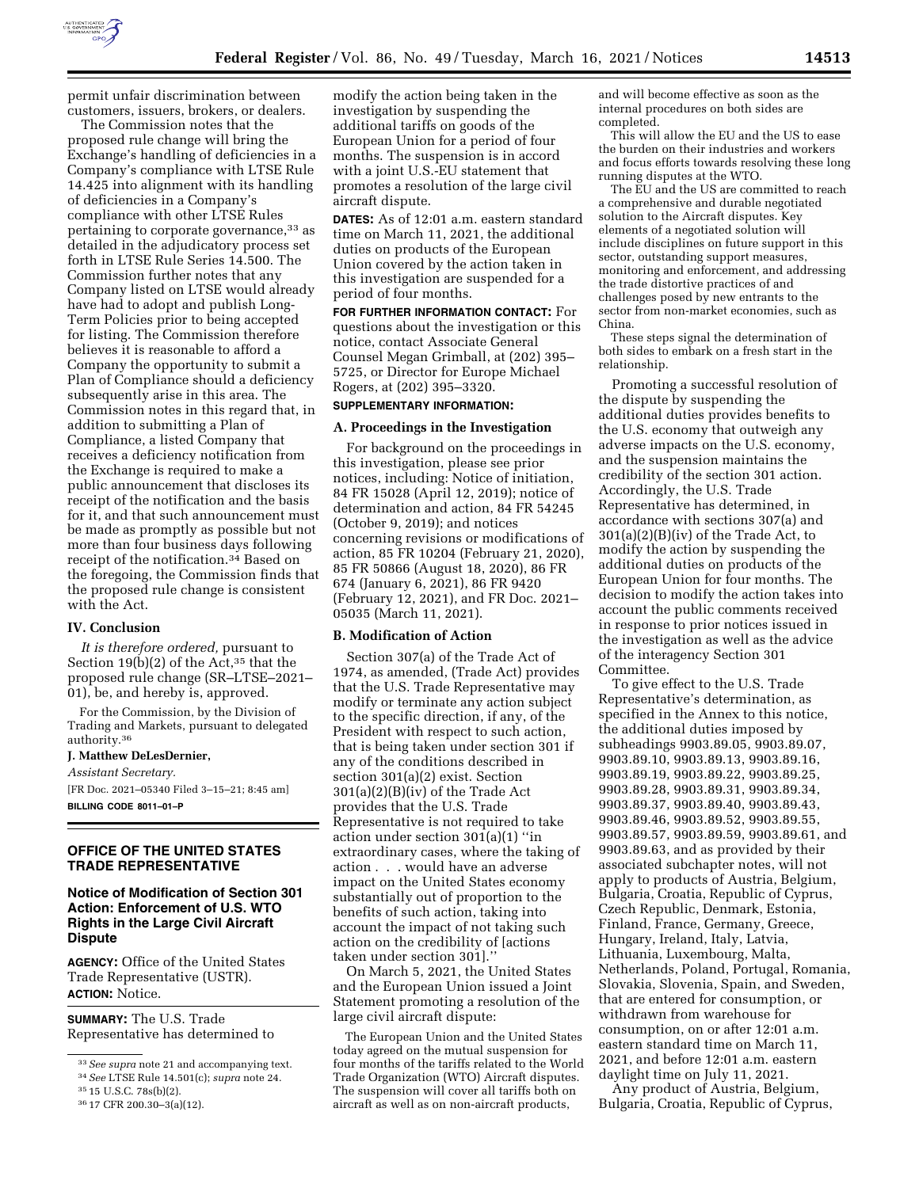

permit unfair discrimination between customers, issuers, brokers, or dealers.

The Commission notes that the proposed rule change will bring the Exchange's handling of deficiencies in a Company's compliance with LTSE Rule 14.425 into alignment with its handling of deficiencies in a Company's compliance with other LTSE Rules pertaining to corporate governance, 33 as detailed in the adjudicatory process set forth in LTSE Rule Series 14.500. The Commission further notes that any Company listed on LTSE would already have had to adopt and publish Long-Term Policies prior to being accepted for listing. The Commission therefore believes it is reasonable to afford a Company the opportunity to submit a Plan of Compliance should a deficiency subsequently arise in this area. The Commission notes in this regard that, in addition to submitting a Plan of Compliance, a listed Company that receives a deficiency notification from the Exchange is required to make a public announcement that discloses its receipt of the notification and the basis for it, and that such announcement must be made as promptly as possible but not more than four business days following receipt of the notification.34 Based on the foregoing, the Commission finds that the proposed rule change is consistent with the Act.

#### **IV. Conclusion**

*It is therefore ordered,* pursuant to Section  $19(b)(2)$  of the Act,<sup>35</sup> that the proposed rule change (SR–LTSE–2021– 01), be, and hereby is, approved.

For the Commission, by the Division of Trading and Markets, pursuant to delegated authority.36

### **J. Matthew DeLesDernier,**

*Assistant Secretary.* 

[FR Doc. 2021–05340 Filed 3–15–21; 8:45 am] **BILLING CODE 8011–01–P** 

## **OFFICE OF THE UNITED STATES TRADE REPRESENTATIVE**

## **Notice of Modification of Section 301 Action: Enforcement of U.S. WTO Rights in the Large Civil Aircraft Dispute**

**AGENCY:** Office of the United States Trade Representative (USTR). **ACTION:** Notice.

**SUMMARY:** The U.S. Trade Representative has determined to

modify the action being taken in the investigation by suspending the additional tariffs on goods of the European Union for a period of four months. The suspension is in accord with a joint U.S.-EU statement that promotes a resolution of the large civil aircraft dispute.

**DATES:** As of 12:01 a.m. eastern standard time on March 11, 2021, the additional duties on products of the European Union covered by the action taken in this investigation are suspended for a period of four months.

**FOR FURTHER INFORMATION CONTACT:** For questions about the investigation or this notice, contact Associate General Counsel Megan Grimball, at (202) 395– 5725, or Director for Europe Michael Rogers, at (202) 395–3320.

# **SUPPLEMENTARY INFORMATION:**

#### **A. Proceedings in the Investigation**

For background on the proceedings in this investigation, please see prior notices, including: Notice of initiation, 84 FR 15028 (April 12, 2019); notice of determination and action, 84 FR 54245 (October 9, 2019); and notices concerning revisions or modifications of action, 85 FR 10204 (February 21, 2020), 85 FR 50866 (August 18, 2020), 86 FR 674 (January 6, 2021), 86 FR 9420 (February 12, 2021), and FR Doc. 2021– 05035 (March 11, 2021).

#### **B. Modification of Action**

Section 307(a) of the Trade Act of 1974, as amended, (Trade Act) provides that the U.S. Trade Representative may modify or terminate any action subject to the specific direction, if any, of the President with respect to such action, that is being taken under section 301 if any of the conditions described in section 301(a)(2) exist. Section 301(a)(2)(B)(iv) of the Trade Act provides that the U.S. Trade Representative is not required to take action under section 301(a)(1) ''in extraordinary cases, where the taking of action . . . would have an adverse impact on the United States economy substantially out of proportion to the benefits of such action, taking into account the impact of not taking such action on the credibility of [actions taken under section 301].''

On March 5, 2021, the United States and the European Union issued a Joint Statement promoting a resolution of the large civil aircraft dispute:

The European Union and the United States today agreed on the mutual suspension for four months of the tariffs related to the World Trade Organization (WTO) Aircraft disputes. The suspension will cover all tariffs both on aircraft as well as on non-aircraft products,

and will become effective as soon as the internal procedures on both sides are completed.

This will allow the EU and the US to ease the burden on their industries and workers and focus efforts towards resolving these long running disputes at the WTO.

The EU and the US are committed to reach a comprehensive and durable negotiated solution to the Aircraft disputes. Key elements of a negotiated solution will include disciplines on future support in this sector, outstanding support measures, monitoring and enforcement, and addressing the trade distortive practices of and challenges posed by new entrants to the sector from non-market economies, such as China.

These steps signal the determination of both sides to embark on a fresh start in the relationship.

Promoting a successful resolution of the dispute by suspending the additional duties provides benefits to the U.S. economy that outweigh any adverse impacts on the U.S. economy, and the suspension maintains the credibility of the section 301 action. Accordingly, the U.S. Trade Representative has determined, in accordance with sections 307(a) and 301(a)(2)(B)(iv) of the Trade Act, to modify the action by suspending the additional duties on products of the European Union for four months. The decision to modify the action takes into account the public comments received in response to prior notices issued in the investigation as well as the advice of the interagency Section 301 Committee.

To give effect to the U.S. Trade Representative's determination, as specified in the Annex to this notice, the additional duties imposed by subheadings 9903.89.05, 9903.89.07, 9903.89.10, 9903.89.13, 9903.89.16, 9903.89.19, 9903.89.22, 9903.89.25, 9903.89.28, 9903.89.31, 9903.89.34, 9903.89.37, 9903.89.40, 9903.89.43, 9903.89.46, 9903.89.52, 9903.89.55, 9903.89.57, 9903.89.59, 9903.89.61, and 9903.89.63, and as provided by their associated subchapter notes, will not apply to products of Austria, Belgium, Bulgaria, Croatia, Republic of Cyprus, Czech Republic, Denmark, Estonia, Finland, France, Germany, Greece, Hungary, Ireland, Italy, Latvia, Lithuania, Luxembourg, Malta, Netherlands, Poland, Portugal, Romania, Slovakia, Slovenia, Spain, and Sweden, that are entered for consumption, or withdrawn from warehouse for consumption, on or after 12:01 a.m. eastern standard time on March 11, 2021, and before 12:01 a.m. eastern daylight time on July 11, 2021.

Any product of Austria, Belgium, Bulgaria, Croatia, Republic of Cyprus,

<sup>33</sup>*See supra* note 21 and accompanying text.

<sup>34</sup>*See* LTSE Rule 14.501(c); *supra* note 24.

<sup>35</sup> 15 U.S.C. 78s(b)(2).

<sup>36</sup> 17 CFR 200.30–3(a)(12).